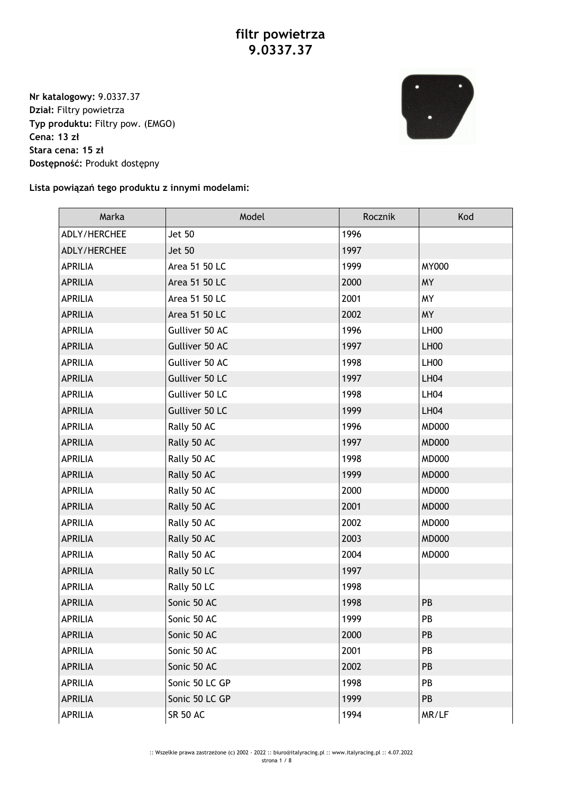**Nr katalogowy:** 9.0337.37 **Dział:** Filtry powietrza **Typ produktu:** Filtry pow. (EMGO) **Cena: 13 zł Stara cena: 15 zł Dostępność:** Produkt dostępny



## **Lista powiązań tego produktu z innymi modelami:**

| Marka          | Model           | Rocznik | Kod              |
|----------------|-----------------|---------|------------------|
| ADLY/HERCHEE   | <b>Jet 50</b>   | 1996    |                  |
| ADLY/HERCHEE   | <b>Jet 50</b>   | 1997    |                  |
| <b>APRILIA</b> | Area 51 50 LC   | 1999    | <b>MY000</b>     |
| <b>APRILIA</b> | Area 51 50 LC   | 2000    | <b>MY</b>        |
| <b>APRILIA</b> | Area 51 50 LC   | 2001    | <b>MY</b>        |
| <b>APRILIA</b> | Area 51 50 LC   | 2002    | <b>MY</b>        |
| <b>APRILIA</b> | Gulliver 50 AC  | 1996    | LH <sub>00</sub> |
| <b>APRILIA</b> | Gulliver 50 AC  | 1997    | LH <sub>00</sub> |
| <b>APRILIA</b> | Gulliver 50 AC  | 1998    | LH00             |
| <b>APRILIA</b> | Gulliver 50 LC  | 1997    | <b>LH04</b>      |
| <b>APRILIA</b> | Gulliver 50 LC  | 1998    | <b>LH04</b>      |
| <b>APRILIA</b> | Gulliver 50 LC  | 1999    | <b>LH04</b>      |
| <b>APRILIA</b> | Rally 50 AC     | 1996    | <b>MD000</b>     |
| <b>APRILIA</b> | Rally 50 AC     | 1997    | <b>MD000</b>     |
| <b>APRILIA</b> | Rally 50 AC     | 1998    | <b>MD000</b>     |
| <b>APRILIA</b> | Rally 50 AC     | 1999    | <b>MD000</b>     |
| <b>APRILIA</b> | Rally 50 AC     | 2000    | <b>MD000</b>     |
| <b>APRILIA</b> | Rally 50 AC     | 2001    | <b>MD000</b>     |
| APRILIA        | Rally 50 AC     | 2002    | <b>MD000</b>     |
| <b>APRILIA</b> | Rally 50 AC     | 2003    | <b>MD000</b>     |
| APRILIA        | Rally 50 AC     | 2004    | <b>MD000</b>     |
| <b>APRILIA</b> | Rally 50 LC     | 1997    |                  |
| <b>APRILIA</b> | Rally 50 LC     | 1998    |                  |
| <b>APRILIA</b> | Sonic 50 AC     | 1998    | PB               |
| <b>APRILIA</b> | Sonic 50 AC     | 1999    | PB               |
| <b>APRILIA</b> | Sonic 50 AC     | 2000    | PB               |
| APRILIA        | Sonic 50 AC     | 2001    | PB               |
| <b>APRILIA</b> | Sonic 50 AC     | 2002    | PB               |
| APRILIA        | Sonic 50 LC GP  | 1998    | PB               |
| <b>APRILIA</b> | Sonic 50 LC GP  | 1999    | PB               |
| APRILIA        | <b>SR 50 AC</b> | 1994    | MR/LF            |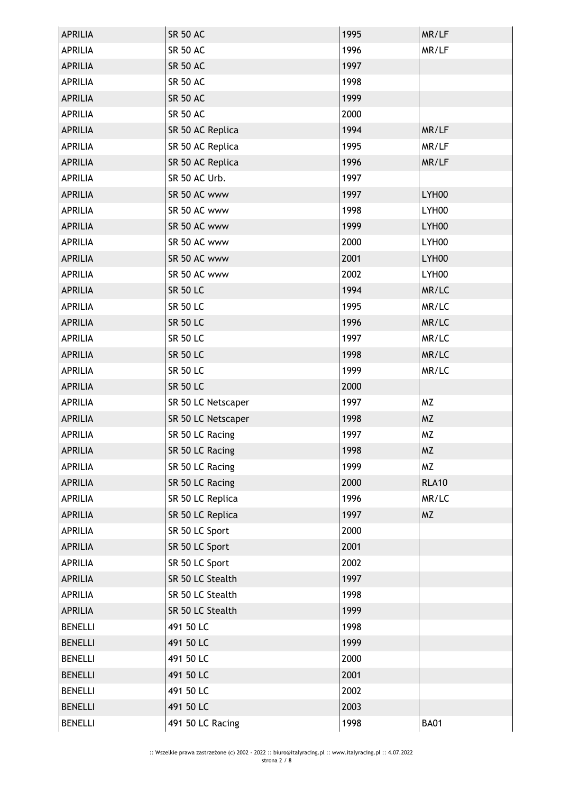| <b>APRILIA</b> | <b>SR 50 AC</b>    | 1995 | MR/LF        |
|----------------|--------------------|------|--------------|
| <b>APRILIA</b> | <b>SR 50 AC</b>    | 1996 | MR/LF        |
| <b>APRILIA</b> | <b>SR 50 AC</b>    | 1997 |              |
| <b>APRILIA</b> | <b>SR 50 AC</b>    | 1998 |              |
| <b>APRILIA</b> | <b>SR 50 AC</b>    | 1999 |              |
| <b>APRILIA</b> | <b>SR 50 AC</b>    | 2000 |              |
| <b>APRILIA</b> | SR 50 AC Replica   | 1994 | MR/LF        |
| <b>APRILIA</b> | SR 50 AC Replica   | 1995 | MR/LF        |
| <b>APRILIA</b> | SR 50 AC Replica   | 1996 | MR/LF        |
| <b>APRILIA</b> | SR 50 AC Urb.      | 1997 |              |
| <b>APRILIA</b> | SR 50 AC www       | 1997 | LYH00        |
| <b>APRILIA</b> | SR 50 AC www       | 1998 | LYH00        |
| <b>APRILIA</b> | SR 50 AC www       | 1999 | LYH00        |
| <b>APRILIA</b> | SR 50 AC www       | 2000 | LYH00        |
| <b>APRILIA</b> | SR 50 AC www       | 2001 | LYH00        |
| <b>APRILIA</b> | SR 50 AC www       | 2002 | LYH00        |
| <b>APRILIA</b> | <b>SR 50 LC</b>    | 1994 | MR/LC        |
| <b>APRILIA</b> | <b>SR 50 LC</b>    | 1995 | MR/LC        |
| <b>APRILIA</b> | <b>SR 50 LC</b>    | 1996 | MR/LC        |
| <b>APRILIA</b> | <b>SR 50 LC</b>    | 1997 | MR/LC        |
| <b>APRILIA</b> | <b>SR 50 LC</b>    | 1998 | MR/LC        |
| <b>APRILIA</b> | <b>SR 50 LC</b>    | 1999 | MR/LC        |
| <b>APRILIA</b> | <b>SR 50 LC</b>    | 2000 |              |
| <b>APRILIA</b> | SR 50 LC Netscaper | 1997 | <b>MZ</b>    |
| <b>APRILIA</b> | SR 50 LC Netscaper | 1998 | <b>MZ</b>    |
| <b>APRILIA</b> | SR 50 LC Racing    | 1997 | MZ           |
| <b>APRILIA</b> | SR 50 LC Racing    | 1998 | <b>MZ</b>    |
| <b>APRILIA</b> | SR 50 LC Racing    | 1999 | <b>MZ</b>    |
| <b>APRILIA</b> | SR 50 LC Racing    | 2000 | <b>RLA10</b> |
| <b>APRILIA</b> | SR 50 LC Replica   | 1996 | MR/LC        |
| <b>APRILIA</b> | SR 50 LC Replica   | 1997 | <b>MZ</b>    |
| <b>APRILIA</b> | SR 50 LC Sport     | 2000 |              |
| <b>APRILIA</b> | SR 50 LC Sport     | 2001 |              |
| <b>APRILIA</b> | SR 50 LC Sport     | 2002 |              |
| <b>APRILIA</b> | SR 50 LC Stealth   | 1997 |              |
| APRILIA        | SR 50 LC Stealth   | 1998 |              |
| <b>APRILIA</b> | SR 50 LC Stealth   | 1999 |              |
| <b>BENELLI</b> | 491 50 LC          | 1998 |              |
| <b>BENELLI</b> | 491 50 LC          | 1999 |              |
| <b>BENELLI</b> | 491 50 LC          | 2000 |              |
| <b>BENELLI</b> | 491 50 LC          | 2001 |              |
| <b>BENELLI</b> | 491 50 LC          | 2002 |              |
| <b>BENELLI</b> | 491 50 LC          | 2003 |              |
| <b>BENELLI</b> | 491 50 LC Racing   | 1998 | <b>BA01</b>  |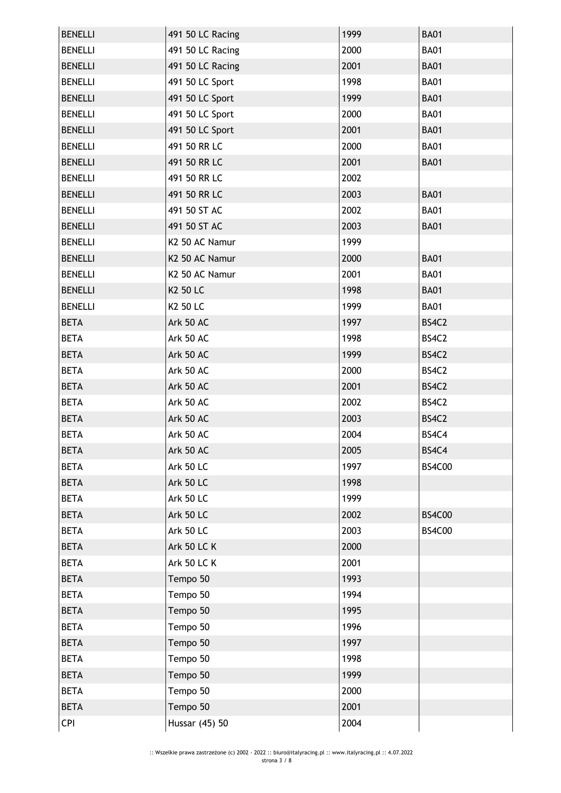| <b>BA01</b><br><b>BENELLI</b><br>491 50 LC Racing<br>2000<br>491 50 LC Racing<br>2001<br><b>BA01</b><br><b>BENELLI</b><br><b>BENELLI</b><br>491 50 LC Sport<br>1998<br><b>BA01</b><br><b>BENELLI</b><br>491 50 LC Sport<br>1999<br><b>BA01</b><br>491 50 LC Sport<br>2000<br><b>BA01</b><br><b>BENELLI</b><br><b>BENELLI</b><br>491 50 LC Sport<br>2001<br><b>BA01</b><br>491 50 RR LC<br>2000<br><b>BA01</b><br><b>BENELLI</b><br><b>BENELLI</b><br>491 50 RR LC<br>2001<br><b>BA01</b><br>491 50 RR LC<br>2002<br><b>BENELLI</b><br><b>BENELLI</b><br>491 50 RR LC<br>2003<br><b>BA01</b><br>2002<br><b>BA01</b><br><b>BENELLI</b><br>491 50 ST AC<br><b>BENELLI</b><br>491 50 ST AC<br>2003<br><b>BA01</b> |
|---------------------------------------------------------------------------------------------------------------------------------------------------------------------------------------------------------------------------------------------------------------------------------------------------------------------------------------------------------------------------------------------------------------------------------------------------------------------------------------------------------------------------------------------------------------------------------------------------------------------------------------------------------------------------------------------------------------|
|                                                                                                                                                                                                                                                                                                                                                                                                                                                                                                                                                                                                                                                                                                               |
|                                                                                                                                                                                                                                                                                                                                                                                                                                                                                                                                                                                                                                                                                                               |
|                                                                                                                                                                                                                                                                                                                                                                                                                                                                                                                                                                                                                                                                                                               |
|                                                                                                                                                                                                                                                                                                                                                                                                                                                                                                                                                                                                                                                                                                               |
|                                                                                                                                                                                                                                                                                                                                                                                                                                                                                                                                                                                                                                                                                                               |
|                                                                                                                                                                                                                                                                                                                                                                                                                                                                                                                                                                                                                                                                                                               |
|                                                                                                                                                                                                                                                                                                                                                                                                                                                                                                                                                                                                                                                                                                               |
|                                                                                                                                                                                                                                                                                                                                                                                                                                                                                                                                                                                                                                                                                                               |
|                                                                                                                                                                                                                                                                                                                                                                                                                                                                                                                                                                                                                                                                                                               |
|                                                                                                                                                                                                                                                                                                                                                                                                                                                                                                                                                                                                                                                                                                               |
|                                                                                                                                                                                                                                                                                                                                                                                                                                                                                                                                                                                                                                                                                                               |
|                                                                                                                                                                                                                                                                                                                                                                                                                                                                                                                                                                                                                                                                                                               |
| <b>BENELLI</b><br>K2 50 AC Namur<br>1999                                                                                                                                                                                                                                                                                                                                                                                                                                                                                                                                                                                                                                                                      |
| K2 50 AC Namur<br>2000<br><b>BA01</b><br><b>BENELLI</b>                                                                                                                                                                                                                                                                                                                                                                                                                                                                                                                                                                                                                                                       |
| <b>BENELLI</b><br>K2 50 AC Namur<br><b>BA01</b><br>2001                                                                                                                                                                                                                                                                                                                                                                                                                                                                                                                                                                                                                                                       |
| 1998<br><b>BENELLI</b><br>K2 50 LC<br><b>BA01</b>                                                                                                                                                                                                                                                                                                                                                                                                                                                                                                                                                                                                                                                             |
| K2 50 LC<br>1999<br><b>BA01</b><br><b>BENELLI</b>                                                                                                                                                                                                                                                                                                                                                                                                                                                                                                                                                                                                                                                             |
| <b>BETA</b><br>Ark 50 AC<br>1997<br>BS4C2                                                                                                                                                                                                                                                                                                                                                                                                                                                                                                                                                                                                                                                                     |
| Ark 50 AC<br>1998<br>BS4C2<br><b>BETA</b>                                                                                                                                                                                                                                                                                                                                                                                                                                                                                                                                                                                                                                                                     |
| <b>BETA</b><br>Ark 50 AC<br>1999<br>BS4C2                                                                                                                                                                                                                                                                                                                                                                                                                                                                                                                                                                                                                                                                     |
| <b>BETA</b><br>Ark 50 AC<br>2000<br>BS4C2                                                                                                                                                                                                                                                                                                                                                                                                                                                                                                                                                                                                                                                                     |
| <b>BETA</b><br>Ark 50 AC<br>2001<br>BS4C2                                                                                                                                                                                                                                                                                                                                                                                                                                                                                                                                                                                                                                                                     |
| <b>BETA</b><br>2002<br>Ark 50 AC<br>BS4C2                                                                                                                                                                                                                                                                                                                                                                                                                                                                                                                                                                                                                                                                     |
| <b>BETA</b><br>Ark 50 AC<br>2003<br>BS4C2                                                                                                                                                                                                                                                                                                                                                                                                                                                                                                                                                                                                                                                                     |
| Ark 50 AC<br><b>BETA</b><br>2004<br>BS4C4                                                                                                                                                                                                                                                                                                                                                                                                                                                                                                                                                                                                                                                                     |
| Ark 50 AC<br><b>BETA</b><br>2005<br>BS4C4                                                                                                                                                                                                                                                                                                                                                                                                                                                                                                                                                                                                                                                                     |
| <b>BS4C00</b><br><b>BETA</b><br>Ark 50 LC<br>1997                                                                                                                                                                                                                                                                                                                                                                                                                                                                                                                                                                                                                                                             |
| <b>BETA</b><br><b>Ark 50 LC</b><br>1998                                                                                                                                                                                                                                                                                                                                                                                                                                                                                                                                                                                                                                                                       |
| <b>BETA</b><br><b>Ark 50 LC</b><br>1999                                                                                                                                                                                                                                                                                                                                                                                                                                                                                                                                                                                                                                                                       |
| <b>Ark 50 LC</b><br><b>BETA</b><br>2002<br><b>BS4C00</b>                                                                                                                                                                                                                                                                                                                                                                                                                                                                                                                                                                                                                                                      |
| <b>Ark 50 LC</b><br>2003<br><b>BETA</b><br><b>BS4C00</b>                                                                                                                                                                                                                                                                                                                                                                                                                                                                                                                                                                                                                                                      |
| <b>Ark 50 LC K</b><br>2000<br><b>BETA</b>                                                                                                                                                                                                                                                                                                                                                                                                                                                                                                                                                                                                                                                                     |
| <b>BETA</b><br><b>Ark 50 LC K</b><br>2001                                                                                                                                                                                                                                                                                                                                                                                                                                                                                                                                                                                                                                                                     |
| <b>BETA</b><br>Tempo 50<br>1993                                                                                                                                                                                                                                                                                                                                                                                                                                                                                                                                                                                                                                                                               |
| 1994<br><b>BETA</b><br>Tempo 50                                                                                                                                                                                                                                                                                                                                                                                                                                                                                                                                                                                                                                                                               |
| Tempo 50<br><b>BETA</b><br>1995                                                                                                                                                                                                                                                                                                                                                                                                                                                                                                                                                                                                                                                                               |
| <b>BETA</b><br>Tempo 50<br>1996                                                                                                                                                                                                                                                                                                                                                                                                                                                                                                                                                                                                                                                                               |
| <b>BETA</b><br>Tempo 50<br>1997                                                                                                                                                                                                                                                                                                                                                                                                                                                                                                                                                                                                                                                                               |
| Tempo 50<br>1998<br><b>BETA</b>                                                                                                                                                                                                                                                                                                                                                                                                                                                                                                                                                                                                                                                                               |
| <b>BETA</b><br>Tempo 50<br>1999                                                                                                                                                                                                                                                                                                                                                                                                                                                                                                                                                                                                                                                                               |
| Tempo 50<br><b>BETA</b><br>2000                                                                                                                                                                                                                                                                                                                                                                                                                                                                                                                                                                                                                                                                               |
| <b>BETA</b><br>Tempo 50<br>2001                                                                                                                                                                                                                                                                                                                                                                                                                                                                                                                                                                                                                                                                               |
| <b>CPI</b><br>Hussar (45) 50<br>2004                                                                                                                                                                                                                                                                                                                                                                                                                                                                                                                                                                                                                                                                          |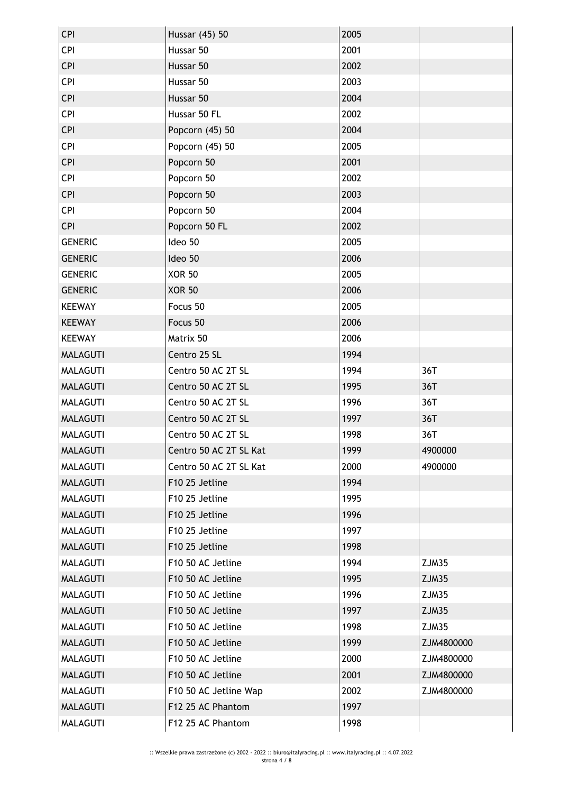| CPI             | Hussar (45) 50         | 2005 |            |
|-----------------|------------------------|------|------------|
| <b>CPI</b>      | Hussar 50              | 2001 |            |
| <b>CPI</b>      | Hussar 50              | 2002 |            |
| CPI             | Hussar 50              | 2003 |            |
| <b>CPI</b>      | Hussar 50              | 2004 |            |
| CPI             | Hussar 50 FL           | 2002 |            |
| <b>CPI</b>      | Popcorn (45) 50        | 2004 |            |
| <b>CPI</b>      | Popcorn (45) 50        | 2005 |            |
| <b>CPI</b>      | Popcorn 50             | 2001 |            |
| CPI             | Popcorn 50             | 2002 |            |
| <b>CPI</b>      | Popcorn 50             | 2003 |            |
| CPI             | Popcorn 50             | 2004 |            |
| <b>CPI</b>      | Popcorn 50 FL          | 2002 |            |
| <b>GENERIC</b>  | Ideo 50                | 2005 |            |
| <b>GENERIC</b>  | Ideo 50                | 2006 |            |
| <b>GENERIC</b>  | <b>XOR 50</b>          | 2005 |            |
| <b>GENERIC</b>  | <b>XOR 50</b>          | 2006 |            |
| <b>KEEWAY</b>   | Focus 50               | 2005 |            |
| <b>KEEWAY</b>   | Focus 50               | 2006 |            |
| <b>KEEWAY</b>   | Matrix 50              | 2006 |            |
| <b>MALAGUTI</b> | Centro 25 SL           | 1994 |            |
| <b>MALAGUTI</b> | Centro 50 AC 2T SL     | 1994 | 36T        |
| <b>MALAGUTI</b> | Centro 50 AC 2T SL     | 1995 | 36T        |
| <b>MALAGUTI</b> | Centro 50 AC 2T SL     | 1996 | 36T        |
| <b>MALAGUTI</b> | Centro 50 AC 2T SL     | 1997 | 36T        |
| <b>MALAGUTI</b> | Centro 50 AC 2T SL     | 1998 | 36T        |
| <b>MALAGUTI</b> | Centro 50 AC 2T SL Kat | 1999 | 4900000    |
| <b>MALAGUTI</b> | Centro 50 AC 2T SL Kat | 2000 | 4900000    |
| <b>MALAGUTI</b> | F10 25 Jetline         | 1994 |            |
| <b>MALAGUTI</b> | F10 25 Jetline         | 1995 |            |
| <b>MALAGUTI</b> | F10 25 Jetline         | 1996 |            |
| <b>MALAGUTI</b> | F10 25 Jetline         | 1997 |            |
| <b>MALAGUTI</b> | F10 25 Jetline         | 1998 |            |
| <b>MALAGUTI</b> | F10 50 AC Jetline      | 1994 | ZJM35      |
| <b>MALAGUTI</b> | F10 50 AC Jetline      | 1995 | ZJM35      |
| <b>MALAGUTI</b> | F10 50 AC Jetline      | 1996 | ZJM35      |
| <b>MALAGUTI</b> | F10 50 AC Jetline      | 1997 | ZJM35      |
| <b>MALAGUTI</b> | F10 50 AC Jetline      | 1998 | ZJM35      |
| <b>MALAGUTI</b> | F10 50 AC Jetline      | 1999 | ZJM4800000 |
| <b>MALAGUTI</b> | F10 50 AC Jetline      | 2000 | ZJM4800000 |
| <b>MALAGUTI</b> | F10 50 AC Jetline      | 2001 | ZJM4800000 |
| <b>MALAGUTI</b> | F10 50 AC Jetline Wap  | 2002 | ZJM4800000 |
| <b>MALAGUTI</b> | F12 25 AC Phantom      | 1997 |            |
| <b>MALAGUTI</b> | F12 25 AC Phantom      | 1998 |            |
|                 |                        |      |            |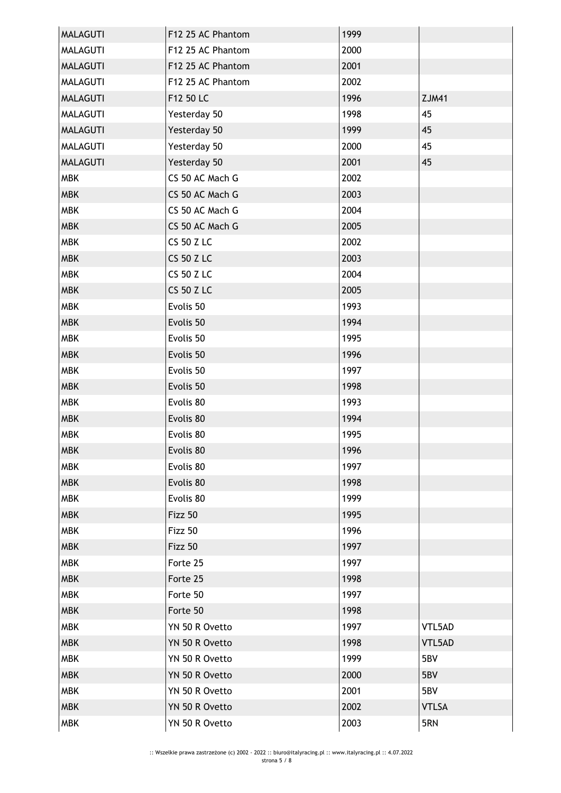| <b>MALAGUTI</b> | F12 25 AC Phantom | 1999 |              |
|-----------------|-------------------|------|--------------|
| MALAGUTI        | F12 25 AC Phantom | 2000 |              |
| <b>MALAGUTI</b> | F12 25 AC Phantom | 2001 |              |
| <b>MALAGUTI</b> | F12 25 AC Phantom | 2002 |              |
| <b>MALAGUTI</b> | F12 50 LC         | 1996 | <b>ZJM41</b> |
| <b>MALAGUTI</b> | Yesterday 50      | 1998 | 45           |
| <b>MALAGUTI</b> | Yesterday 50      | 1999 | 45           |
| <b>MALAGUTI</b> | Yesterday 50      | 2000 | 45           |
| <b>MALAGUTI</b> | Yesterday 50      | 2001 | 45           |
| <b>MBK</b>      | CS 50 AC Mach G   | 2002 |              |
| <b>MBK</b>      | CS 50 AC Mach G   | 2003 |              |
| <b>MBK</b>      | CS 50 AC Mach G   | 2004 |              |
| <b>MBK</b>      | CS 50 AC Mach G   | 2005 |              |
| <b>MBK</b>      | <b>CS 50 Z LC</b> | 2002 |              |
| <b>MBK</b>      | <b>CS 50 Z LC</b> | 2003 |              |
| <b>MBK</b>      | <b>CS 50 Z LC</b> | 2004 |              |
| <b>MBK</b>      | <b>CS 50 Z LC</b> | 2005 |              |
| <b>MBK</b>      | Evolis 50         | 1993 |              |
| <b>MBK</b>      | Evolis 50         | 1994 |              |
| <b>MBK</b>      | Evolis 50         | 1995 |              |
| <b>MBK</b>      | Evolis 50         | 1996 |              |
| <b>MBK</b>      | Evolis 50         | 1997 |              |
| <b>MBK</b>      | Evolis 50         | 1998 |              |
| <b>MBK</b>      | Evolis 80         | 1993 |              |
| <b>MBK</b>      | Evolis 80         | 1994 |              |
| <b>MBK</b>      | Evolis 80         | 1995 |              |
| <b>MBK</b>      | Evolis 80         | 1996 |              |
| <b>MBK</b>      | Evolis 80         | 1997 |              |
| <b>MBK</b>      | Evolis 80         | 1998 |              |
| <b>MBK</b>      | Evolis 80         | 1999 |              |
| <b>MBK</b>      | Fizz 50           | 1995 |              |
| <b>MBK</b>      | Fizz 50           | 1996 |              |
| <b>MBK</b>      | Fizz 50           | 1997 |              |
| <b>MBK</b>      | Forte 25          | 1997 |              |
| <b>MBK</b>      | Forte 25          | 1998 |              |
| <b>MBK</b>      | Forte 50          | 1997 |              |
| <b>MBK</b>      | Forte 50          | 1998 |              |
| <b>MBK</b>      | YN 50 R Ovetto    | 1997 | VTL5AD       |
| <b>MBK</b>      | YN 50 R Ovetto    | 1998 | VTL5AD       |
| <b>MBK</b>      | YN 50 R Ovetto    | 1999 | 5BV          |
| <b>MBK</b>      | YN 50 R Ovetto    | 2000 | 5BV          |
| <b>MBK</b>      | YN 50 R Ovetto    | 2001 | 5BV          |
| <b>MBK</b>      | YN 50 R Ovetto    | 2002 | <b>VTLSA</b> |
| <b>MBK</b>      | YN 50 R Ovetto    | 2003 | 5RN          |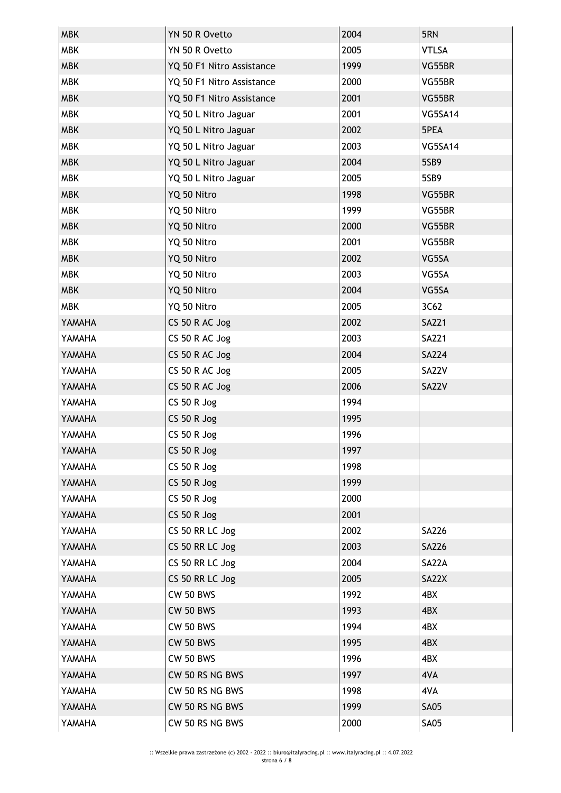| <b>MBK</b>    | YN 50 R Ovetto            | 2004 | 5RN            |
|---------------|---------------------------|------|----------------|
| <b>MBK</b>    | YN 50 R Ovetto            | 2005 | <b>VTLSA</b>   |
| <b>MBK</b>    | YQ 50 F1 Nitro Assistance | 1999 | VG55BR         |
| <b>MBK</b>    | YQ 50 F1 Nitro Assistance | 2000 | VG55BR         |
| <b>MBK</b>    | YQ 50 F1 Nitro Assistance | 2001 | VG55BR         |
| <b>MBK</b>    | YQ 50 L Nitro Jaguar      | 2001 | VG5SA14        |
| <b>MBK</b>    | YQ 50 L Nitro Jaguar      | 2002 | 5PEA           |
| <b>MBK</b>    | YQ 50 L Nitro Jaguar      | 2003 | <b>VG5SA14</b> |
| <b>MBK</b>    | YQ 50 L Nitro Jaguar      | 2004 | 5SB9           |
| <b>MBK</b>    | YQ 50 L Nitro Jaguar      | 2005 | 5SB9           |
| <b>MBK</b>    | YQ 50 Nitro               | 1998 | VG55BR         |
| <b>MBK</b>    | YQ 50 Nitro               | 1999 | VG55BR         |
| <b>MBK</b>    | YQ 50 Nitro               | 2000 | VG55BR         |
| <b>MBK</b>    | YQ 50 Nitro               | 2001 | VG55BR         |
| <b>MBK</b>    | YQ 50 Nitro               | 2002 | VG5SA          |
| <b>MBK</b>    | YQ 50 Nitro               | 2003 | VG5SA          |
| <b>MBK</b>    | YQ 50 Nitro               | 2004 | VG5SA          |
| <b>MBK</b>    | YQ 50 Nitro               | 2005 | 3C62           |
| YAMAHA        | CS 50 R AC Jog            | 2002 | <b>SA221</b>   |
| YAMAHA        | CS 50 R AC Jog            | 2003 | <b>SA221</b>   |
| YAMAHA        | CS 50 R AC Jog            | 2004 | <b>SA224</b>   |
| YAMAHA        | CS 50 R AC Jog            | 2005 | SA22V          |
| YAMAHA        | CS 50 R AC Jog            | 2006 | SA22V          |
| YAMAHA        | <b>CS 50 R Jog</b>        | 1994 |                |
| YAMAHA        | CS 50 R Jog               | 1995 |                |
| YAMAHA        | <b>CS 50 R Jog</b>        | 1996 |                |
| <b>AHAMAY</b> | $CS$ 50 R Jog             | 1997 |                |
| YAMAHA        | $CS$ 50 R Jog             | 1998 |                |
| YAMAHA        | $CS$ 50 R Jog             | 1999 |                |
| YAMAHA        | $CS$ 50 R Jog             | 2000 |                |
| YAMAHA        | $CS$ 50 R Jog             | 2001 |                |
| YAMAHA        | CS 50 RR LC Jog           | 2002 | <b>SA226</b>   |
| YAMAHA        | CS 50 RR LC Jog           | 2003 | <b>SA226</b>   |
| YAMAHA        | CS 50 RR LC Jog           | 2004 | SA22A          |
| YAMAHA        | CS 50 RR LC Jog           | 2005 | SA22X          |
| YAMAHA        | <b>CW 50 BWS</b>          | 1992 | 4BX            |
| YAMAHA        | <b>CW 50 BWS</b>          | 1993 | 4BX            |
| YAMAHA        | <b>CW 50 BWS</b>          | 1994 | 4BX            |
| YAMAHA        | <b>CW 50 BWS</b>          | 1995 | 4BX            |
| YAMAHA        | <b>CW 50 BWS</b>          | 1996 | 4BX            |
| YAMAHA        | CW 50 RS NG BWS           | 1997 | 4VA            |
| YAMAHA        | CW 50 RS NG BWS           | 1998 | 4VA            |
| YAMAHA        | CW 50 RS NG BWS           | 1999 | <b>SA05</b>    |
| YAMAHA        | CW 50 RS NG BWS           | 2000 | <b>SA05</b>    |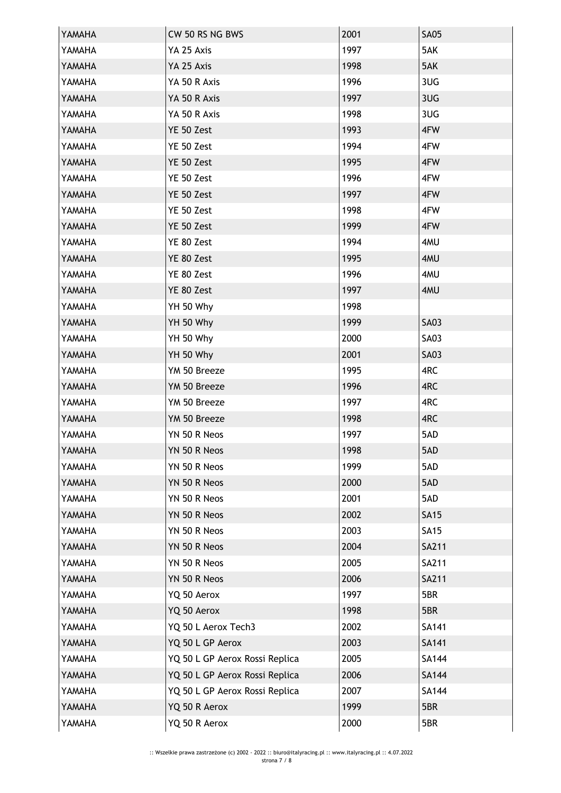| YAMAHA | CW 50 RS NG BWS                | 2001 | <b>SA05</b>  |
|--------|--------------------------------|------|--------------|
| YAMAHA | YA 25 Axis                     | 1997 | 5AK          |
| YAMAHA | YA 25 Axis                     | 1998 | 5AK          |
| YAMAHA | YA 50 R Axis                   | 1996 | 3UG          |
| YAMAHA | YA 50 R Axis                   | 1997 | 3UG          |
| YAMAHA | YA 50 R Axis                   | 1998 | 3UG          |
| YAMAHA | YE 50 Zest                     | 1993 | 4FW          |
| YAMAHA | YE 50 Zest                     | 1994 | 4FW          |
| YAMAHA | YE 50 Zest                     | 1995 | 4FW          |
| YAMAHA | YE 50 Zest                     | 1996 | 4FW          |
| YAMAHA | YE 50 Zest                     | 1997 | 4FW          |
| YAMAHA | YE 50 Zest                     | 1998 | 4FW          |
| YAMAHA | YE 50 Zest                     | 1999 | 4FW          |
| YAMAHA | YE 80 Zest                     | 1994 | 4MU          |
| YAMAHA | YE 80 Zest                     | 1995 | 4MU          |
| YAMAHA | YE 80 Zest                     | 1996 | 4MU          |
| YAMAHA | YE 80 Zest                     | 1997 | 4MU          |
| YAMAHA | YH 50 Why                      | 1998 |              |
| YAMAHA | YH 50 Why                      | 1999 | <b>SA03</b>  |
| YAMAHA | YH 50 Why                      | 2000 | <b>SA03</b>  |
| YAMAHA | YH 50 Why                      | 2001 | <b>SA03</b>  |
| YAMAHA | YM 50 Breeze                   | 1995 | 4RC          |
| YAMAHA | YM 50 Breeze                   | 1996 | 4RC          |
| YAMAHA | YM 50 Breeze                   | 1997 | 4RC          |
| YAMAHA | YM 50 Breeze                   | 1998 | 4RC          |
| YAMAHA | YN 50 R Neos                   | 1997 | 5AD          |
| YAMAHA | YN 50 R Neos                   | 1998 | 5AD          |
| YAMAHA | YN 50 R Neos                   | 1999 | 5AD          |
| YAMAHA | YN 50 R Neos                   | 2000 | 5AD          |
| YAMAHA | YN 50 R Neos                   | 2001 | 5AD          |
| YAMAHA | YN 50 R Neos                   | 2002 | <b>SA15</b>  |
| YAMAHA | YN 50 R Neos                   | 2003 | <b>SA15</b>  |
| YAMAHA | YN 50 R Neos                   | 2004 | <b>SA211</b> |
| YAMAHA | YN 50 R Neos                   | 2005 | SA211        |
| YAMAHA | YN 50 R Neos                   | 2006 | <b>SA211</b> |
| YAMAHA | YQ 50 Aerox                    | 1997 | 5BR          |
| YAMAHA | YQ 50 Aerox                    | 1998 | 5BR          |
| YAMAHA | YQ 50 L Aerox Tech3            | 2002 | SA141        |
| YAMAHA | YQ 50 L GP Aerox               | 2003 | SA141        |
| YAMAHA | YQ 50 L GP Aerox Rossi Replica | 2005 | <b>SA144</b> |
| YAMAHA | YQ 50 L GP Aerox Rossi Replica | 2006 | SA144        |
| YAMAHA | YQ 50 L GP Aerox Rossi Replica | 2007 | <b>SA144</b> |
| YAMAHA | YQ 50 R Aerox                  | 1999 | 5BR          |
| YAMAHA | YQ 50 R Aerox                  | 2000 | 5BR          |